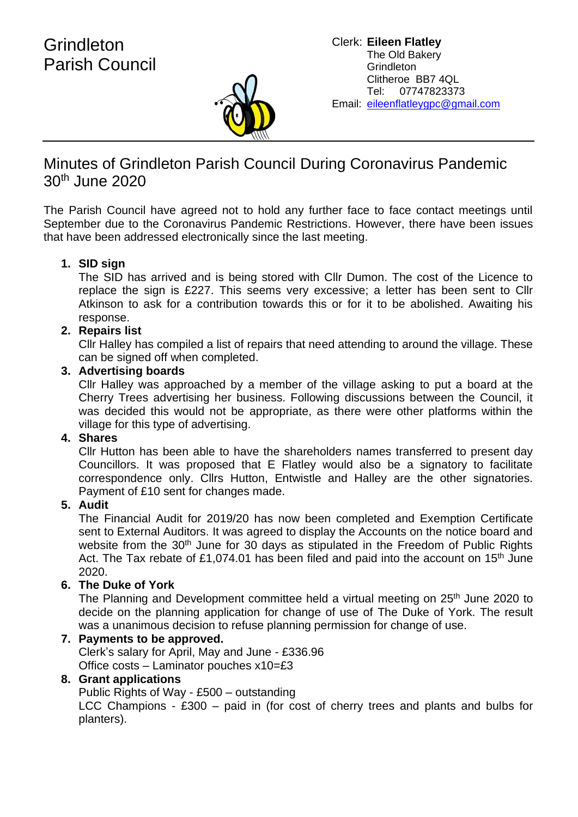

## Minutes of Grindleton Parish Council During Coronavirus Pandemic 30th June 2020

The Parish Council have agreed not to hold any further face to face contact meetings until September due to the Coronavirus Pandemic Restrictions. However, there have been issues that have been addressed electronically since the last meeting.

### **1. SID sign**

The SID has arrived and is being stored with Cllr Dumon. The cost of the Licence to replace the sign is £227. This seems very excessive; a letter has been sent to Cllr Atkinson to ask for a contribution towards this or for it to be abolished. Awaiting his response.

#### **2. Repairs list**

Cllr Halley has compiled a list of repairs that need attending to around the village. These can be signed off when completed.

#### **3. Advertising boards**

Cllr Halley was approached by a member of the village asking to put a board at the Cherry Trees advertising her business. Following discussions between the Council, it was decided this would not be appropriate, as there were other platforms within the village for this type of advertising.

#### **4. Shares**

Cllr Hutton has been able to have the shareholders names transferred to present day Councillors. It was proposed that E Flatley would also be a signatory to facilitate correspondence only. Cllrs Hutton, Entwistle and Halley are the other signatories. Payment of £10 sent for changes made.

#### **5. Audit**

The Financial Audit for 2019/20 has now been completed and Exemption Certificate sent to External Auditors. It was agreed to display the Accounts on the notice board and website from the 30<sup>th</sup> June for 30 days as stipulated in the Freedom of Public Rights Act. The Tax rebate of £1,074.01 has been filed and paid into the account on 15<sup>th</sup> June 2020.

#### **6. The Duke of York**

The Planning and Development committee held a virtual meeting on 25<sup>th</sup> June 2020 to decide on the planning application for change of use of The Duke of York. The result was a unanimous decision to refuse planning permission for change of use.

#### **7. Payments to be approved.**

Clerk's salary for April, May and June - £336.96 Office costs – Laminator pouches x10=£3

#### **8. Grant applications**

Public Rights of Way - £500 – outstanding

LCC Champions - £300 – paid in (for cost of cherry trees and plants and bulbs for planters).